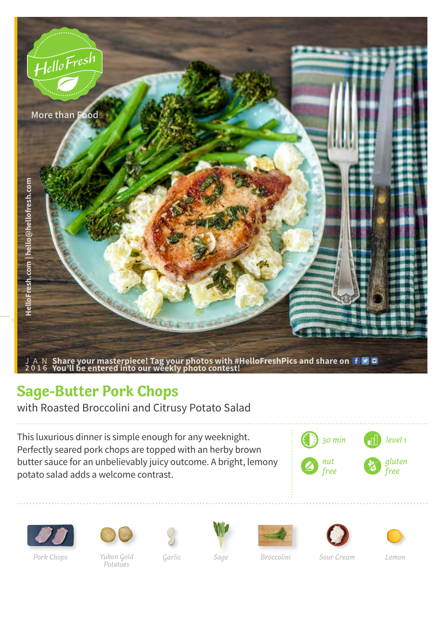

## **Sage-Butter Pork Chops**

with Roasted Broccolini and Citrusy Potato Salad

This luxurious dinner is simple enough for any weeknight. Perfectly seared pork chops are topped with an herby brown butter sauce for an unbelievably juicy outcome. A bright, lemony potato salad adds a welcome contrast.







*Yukon Gold Garlic Potatoes Pork Chops Sage Broccolini Sour Cream Lemon*